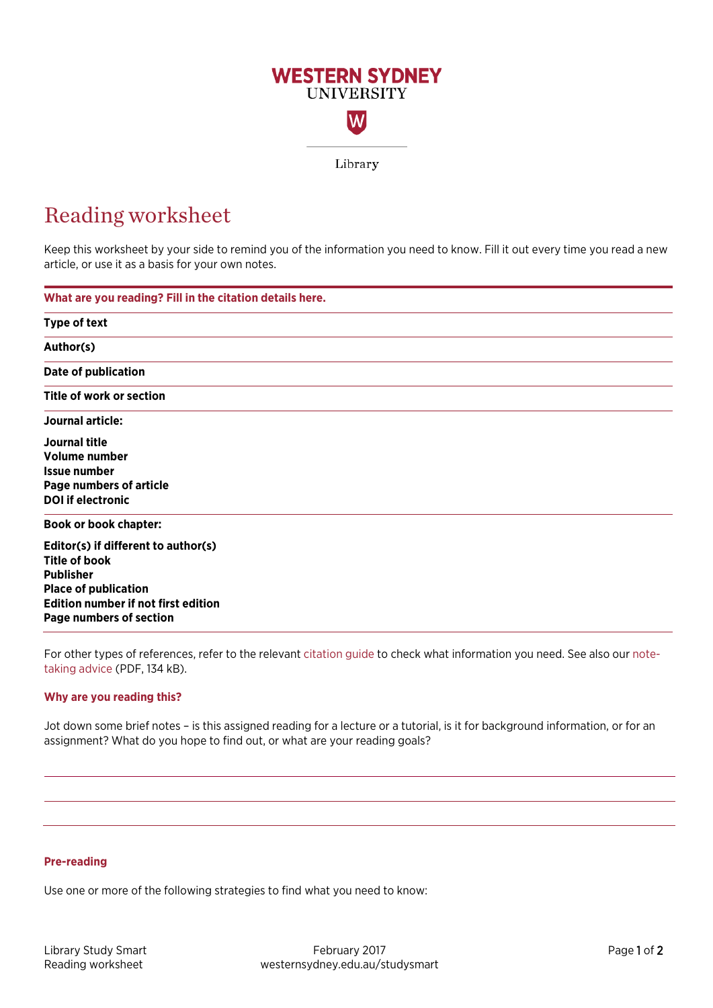

# Reading worksheet

Keep this worksheet by your side to remind you of the information you need to know. Fill it out every time you read a new article, or use it as a basis for your own notes.

| What are you reading? Fill in the citation details here. |  |
|----------------------------------------------------------|--|
| Type of text                                             |  |
| Author(s)                                                |  |
| <b>Date of publication</b>                               |  |
| Title of work or section                                 |  |
| Journal article:                                         |  |
| Journal title                                            |  |
| Volume number                                            |  |
| <b>Issue number</b>                                      |  |
| <b>Page numbers of article</b>                           |  |
| <b>DOI</b> if electronic                                 |  |
| <b>Book or book chapter:</b>                             |  |
| Editor(s) if different to author(s)                      |  |
| <b>Title of book</b>                                     |  |
| <b>Publisher</b>                                         |  |
| <b>Place of publication</b>                              |  |
| <b>Edition number if not first edition</b>               |  |
| Page numbers of section                                  |  |

For other types of references, refer to the relevant [citation guide](http://library.westernsydney.edu.au/main/guides/referencing-citation) to check what information you need. See also our [note](https://westernsydney.edu.au/__data/assets/pdf_file/0004/1082515/General_note-taking_advice.pdf)[taking advice](https://westernsydney.edu.au/__data/assets/pdf_file/0004/1082515/General_note-taking_advice.pdf) (PDF, 134 kB).

## **Why are you reading this?**

Jot down some brief notes – is this assigned reading for a lecture or a tutorial, is it for background information, or for an assignment? What do you hope to find out, or what are your reading goals?

## **Pre-reading**

Use one or more of the following strategies to find what you need to know: